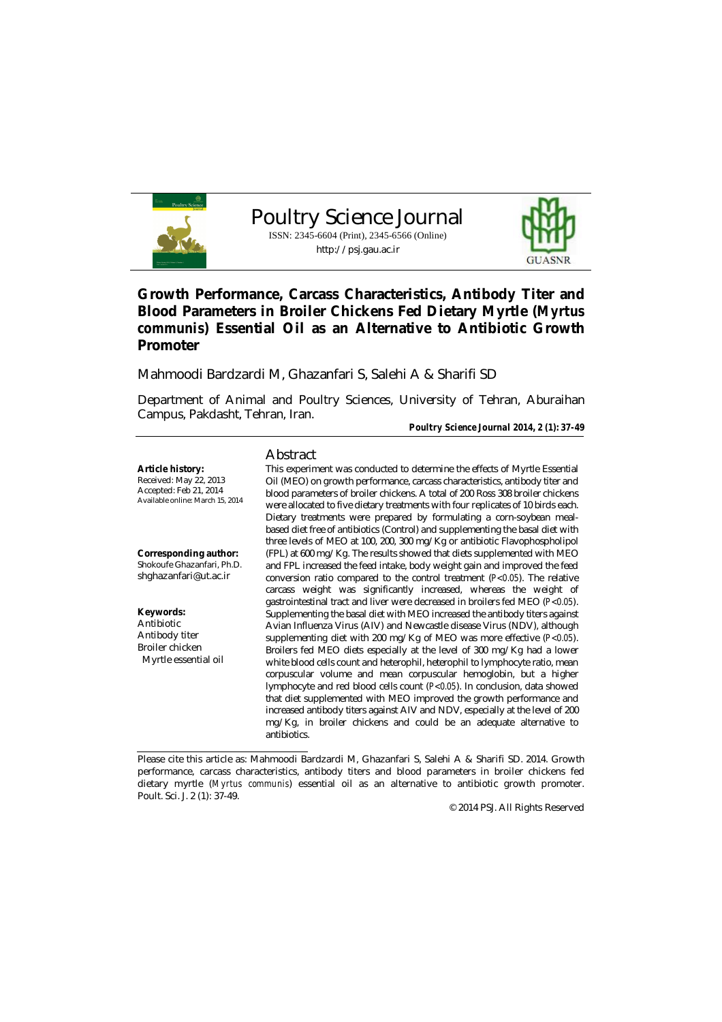

Poultry Science Journal ISSN: 2345-6604 (Print), 2345-6566 (Online) http://psj.gau.ac.ir



# **Growth Performance, Carcass Characteristics, Antibody Titer and Blood Parameters in Broiler Chickens Fed Dietary Myrtle (***Myrtus communis***) Essential Oil as an Alternative to Antibiotic Growth Promoter**

Mahmoodi Bardzardi M, Ghazanfari S, Salehi A & Sharifi SD

Department of Animal and Poultry Sciences, University of Tehran, Aburaihan Campus, Pakdasht, Tehran, Iran.

*Poultry Science Journal 2014, 2 (1): 37-49*

### Abstract

**Article history:** Received: May 22, 2013 Accepted: Feb 21, 2014 Available online: March 15, 2014

**Corresponding author:** Shokoufe Ghazanfari, Ph.D. shghazanfari@ut.ac.ir

**Keywords:** Antibiotic Antibody titer Broiler chicken Myrtle essential oil

This experiment was conducted to determine the effects of Myrtle Essential Oil (MEO) on growth performance, carcass characteristics, antibody titer and blood parameters of broiler chickens. A total of 200 Ross 308 broiler chickens were allocated to five dietary treatments with four replicates of 10 birds each. Dietary treatments were prepared by formulating a corn-soybean mealbased diet free of antibiotics (Control) and supplementing the basal diet with three levels of MEO at 100, 200, 300 mg/Kg or antibiotic Flavophospholipol (FPL) at 600 mg/Kg. The results showed that diets supplemented with MEO and FPL increased the feed intake, body weight gain and improved the feed conversion ratio compared to the control treatment (*P<0.05*). The relative carcass weight was significantly increased, whereas the weight of gastrointestinal tract and liver were decreased in broilers fed MEO (*P<0.05*). Supplementing the basal diet with MEO increased the antibody titers against Avian Influenza Virus (AIV) and Newcastle disease Virus (NDV), although supplementing diet with 200 mg/Kg of MEO was more effective (*P<0.05*). Broilers fed MEO diets especially at the level of 300 mg/Kg had a lower white blood cells count and heterophil, heterophil to lymphocyte ratio, mean corpuscular volume and mean corpuscular hemoglobin, but a higher lymphocyte and red blood cells count (*P<0.05*). In conclusion, data showed that diet supplemented with MEO improved the growth performance and increased antibody titers against AIV and NDV, especially at the level of 200 mg/Kg, in broiler chickens and could be an adequate alternative to antibiotics.

© 2014 PSJ. All Rights Reserved

Please cite this article as: Mahmoodi Bardzardi M, Ghazanfari S, Salehi A & Sharifi SD. 2014. Growth performance, carcass characteristics, antibody titers and blood parameters in broiler chickens fed dietary myrtle (*Myrtus communis*) essential oil as an alternative to antibiotic growth promoter. Poult. Sci. J. 2 (1): 37-49.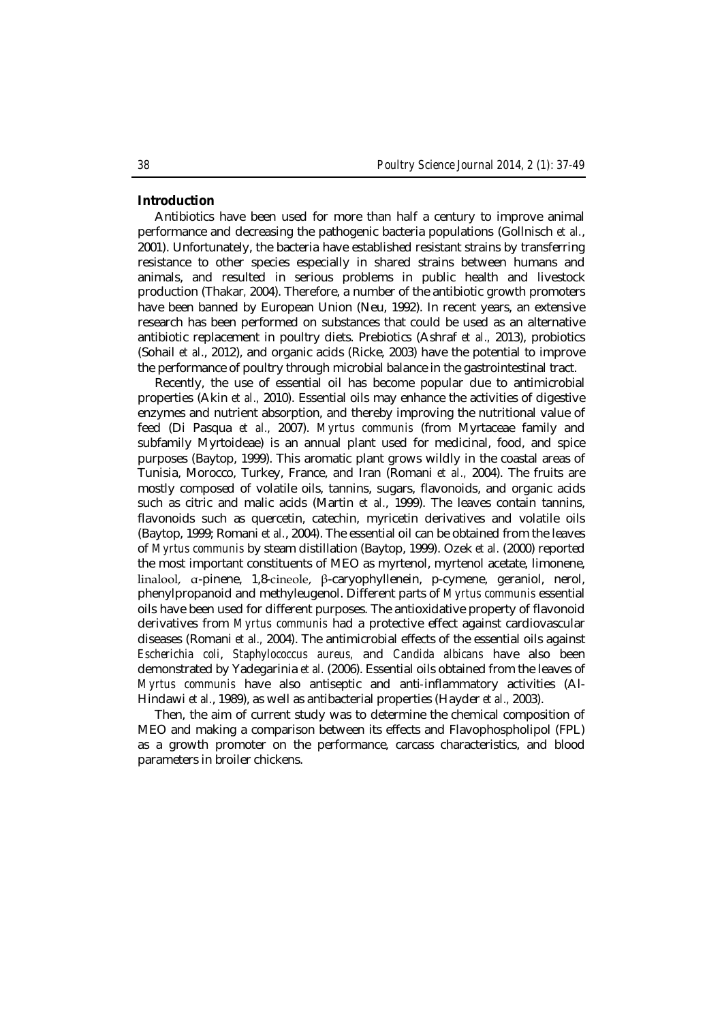### **Introduction**

Antibiotics have been used for more than half a century to improve animal performance and decreasing the pathogenic bacteria populations (Gollnisch *et al.*, 2001). Unfortunately, the bacteria have established resistant strains by transferring resistance to other species especially in shared strains between humans and animals, and resulted in serious problems in public health and livestock production (Thakar*,* 2004). Therefore, a number of the antibiotic growth promoters have been banned by European Union (Neu, 1992). In recent years, an extensive research has been performed on substances that could be used as an alternative antibiotic replacement in poultry diets. Prebiotics (Ashraf *et al.,* 2013), probiotics (Sohail *et al*., 2012), and organic acids (Ricke, 2003) have the potential to improve the performance of poultry through microbial balance in the gastrointestinal tract.

Recently, the use of essential oil has become popular due to antimicrobial properties (Akin *et al.,* 2010). Essential oils may enhance the activities of digestive enzymes and nutrient absorption, and thereby improving the nutritional value of feed (Di Pasqua *et al.,* 2007). *Myrtus communis* (from Myrtaceae family and subfamily Myrtoideae) is an annual plant used for medicinal, food, and spice purposes (Baytop, 1999). This aromatic plant grows wildly in the coastal areas of Tunisia, Morocco, Turkey, France, and Iran (Romani *et al.,* 2004). The fruits are mostly composed of volatile oils, tannins, sugars, flavonoids, and organic acids such as citric and malic acids (Martin *et al.*, 1999). The leaves contain tannins, flavonoids such as quercetin, catechin, myricetin derivatives and volatile oils (Baytop, 1999; Romani *et al.*, 2004). The essential oil can be obtained from the leaves of *Myrtus communis* by steam distillation (Baytop, 1999). Ozek *et al.* (2000) reported the most important constituents of MEO as myrtenol, myrtenol acetate, limonene, linalool, α-pinene, 1,8-cineole, β-caryophyllenein, p-cymene, geraniol, nerol, phenylpropanoid and methyleugenol. Different parts of *Myrtus communis* essential oils have been used for different purposes. The antioxidative property of flavonoid derivatives from *Myrtus communis* had a protective effect against cardiovascular diseases (Romani *et al.,* 2004). The antimicrobial effects of the essential oils against *Escherichia coli*, *Staphylococcus aureus,* and *Candida albicans* have also been demonstrated by Yadegarinia *et al.* (2006). Essential oils obtained from the leaves of *Myrtus communis* have also antiseptic and anti‐inflammatory activities (Al-Hindawi *et al.*, 1989), as well as antibacterial properties (Hayder *et al.,* 2003).

Then, the aim of current study was to determine the chemical composition of MEO and making a comparison between its effects and Flavophospholipol (FPL) as a growth promoter on the performance, carcass characteristics, and blood parameters in broiler chickens.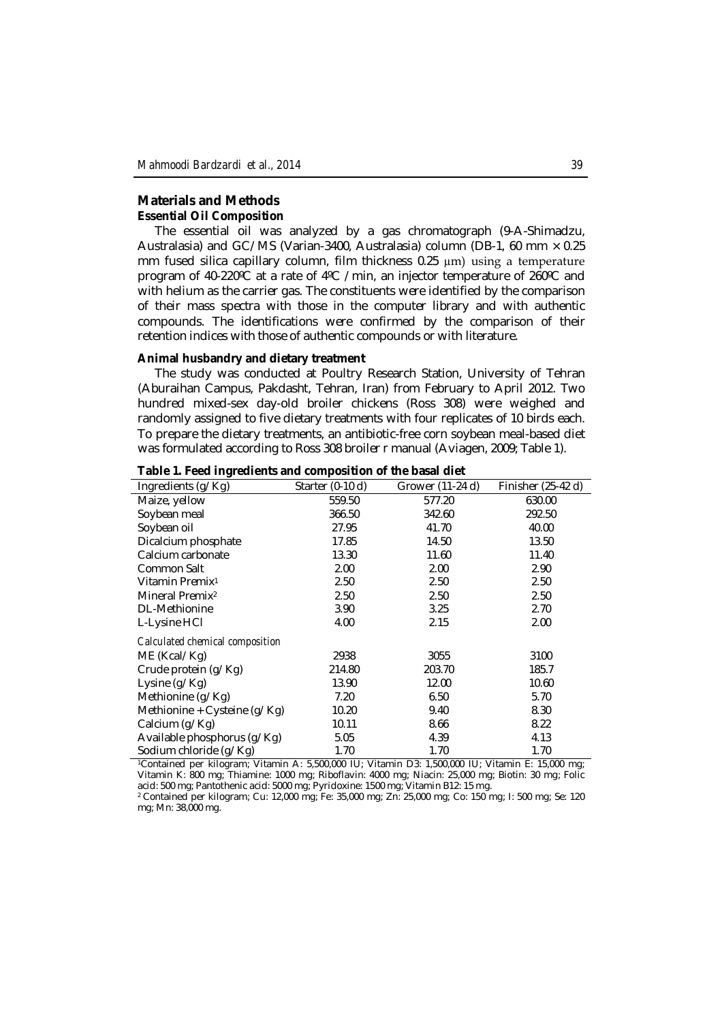# **Materials and Methods Essential Oil Composition**

The essential oil was analyzed by a gas chromatograph (9-A-Shimadzu, Australasia) and GC/MS (Varian-3400, Australasia) column (DB-1, 60 mm  $\times$  0.25 mm fused silica capillary column, film thickness 0.25 µm) using a temperature program of 40-220ºC at a rate of 4ºC /min, an injector temperature of 260ºC and with helium as the carrier gas. The constituents were identified by the comparison of their mass spectra with those in the computer library and with authentic compounds. The identifications were confirmed by the comparison of their retention indices with those of authentic compounds or with literature.

#### **Animal husbandry and dietary treatment**

The study was conducted at Poultry Research Station, University of Tehran (Aburaihan Campus, Pakdasht, Tehran, Iran) from February to April 2012. Two hundred mixed-sex day-old broiler chickens (Ross 308) were weighed and randomly assigned to five dietary treatments with four replicates of 10 birds each. To prepare the dietary treatments, an antibiotic-free corn soybean meal-based diet was formulated according to Ross 308 broiler r manual (Aviagen, 2009; Table 1).

| Ingredients (g/Kg)              | Starter $(0-10 d)$ | Grower (11-24 d) | Finisher $(25-42 d)$ |
|---------------------------------|--------------------|------------------|----------------------|
| Maize, yellow                   | 559.50             | 577.20           | 630.00               |
| Soybean meal                    | 366.50             | 342.60           | 292.50               |
| Soybean oil                     | 27.95              | 41.70            | 40.00                |
| Dicalcium phosphate             | 17.85              | 14.50            | 13.50                |
| Calcium carbonate               | 13.30              | 11.60            | 11.40                |
| Common Salt                     | 2.00               | 2.00             | 2.90                 |
| Vitamin Premix <sup>1</sup>     | 2.50               | 2.50             | 2.50                 |
| Mineral Premix <sup>2</sup>     | 2.50               | 2.50             | 2.50                 |
| <b>DL-Methionine</b>            | 3.90               | 3.25             | 2.70                 |
| L-Lysine HCI                    | 4.00               | 2.15             | 2.00                 |
| Calculated chemical composition |                    |                  |                      |
| ME (Kcal/Kg)                    | 2938               | 3055             | 3100                 |
| Crude protein (g/Kg)            | 214.80             | 203.70           | 185.7                |
| Lysine (g/Kg)                   | 13.90              | 12.00            | 10.60                |
| Methionine (g/Kg)               | 7.20               | 6.50             | 5.70                 |
| Methionine + Cysteine (g/Kg)    | 10.20              | 9.40             | 8.30                 |
| Calcium (g/Kg)                  | 10.11              | 8.66             | 8.22                 |
| Available phosphorus (g/Kg)     | 5.05               | 4.39             | 4.13                 |
| Sodium chloride (g/Kg)          | 1.70               | 1.70             | 1.70                 |

# **Table 1. Feed ingredients and composition of the basal diet**

<sup>1</sup>Contained per kilogram; Vitamin A: 5,500,000 IU; Vitamin D3: 1,500,000 IU; Vitamin E: 15,000 mg; Vitamin K: 800 mg; Thiamine: 1000 mg; Riboflavin: 4000 mg; Niacin: 25,000 mg; Biotin: 30 mg; Folic acid: 500 mg; Pantothenic acid: 5000 mg; Pyridoxine: 1500 mg; Vitamin B12: 15 mg.

<sup>2</sup> Contained per kilogram; Cu: 12,000 mg; Fe: 35,000 mg; Zn: 25,000 mg; Co: 150 mg; I: 500 mg; Se: 120 mg; Mn: 38,000 mg.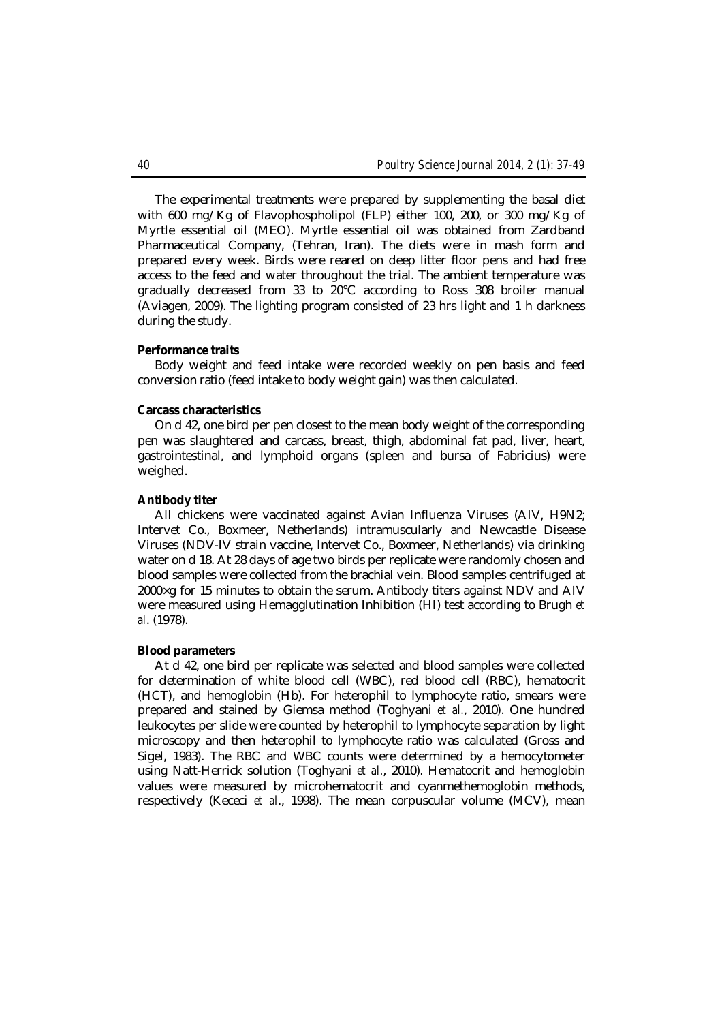The experimental treatments were prepared by supplementing the basal diet with 600 mg/Kg of Flavophospholipol (FLP) either 100, 200, or 300 mg/Kg of Myrtle essential oil (MEO). Myrtle essential oil was obtained from Zardband Pharmaceutical Company, (Tehran, Iran). The diets were in mash form and prepared every week. Birds were reared on deep litter floor pens and had free access to the feed and water throughout the trial. The ambient temperature was gradually decreased from 33 to 20°C according to Ross 308 broiler manual (Aviagen, 2009). The lighting program consisted of 23 hrs light and 1 h darkness during the study.

#### **Performance traits**

Body weight and feed intake were recorded weekly on pen basis and feed conversion ratio (feed intake to body weight gain) was then calculated.

#### **Carcass characteristics**

On d 42, one bird per pen closest to the mean body weight of the corresponding pen was slaughtered and carcass, breast, thigh, abdominal fat pad, liver, heart, gastrointestinal, and lymphoid organs (spleen and bursa of Fabricius) were weighed.

# **Antibody titer**

All chickens were vaccinated against Avian Influenza Viruses (AIV, H9N2; Intervet Co., Boxmeer, Netherlands) intramuscularly and Newcastle Disease Viruses (NDV-IV strain vaccine, Intervet Co., Boxmeer, Netherlands) via drinking water on d 18. At 28 days of age two birds per replicate were randomly chosen and blood samples were collected from the brachial vein. Blood samples centrifuged at 2000×g for 15 minutes to obtain the serum. Antibody titers against NDV and AIV were measured using Hemagglutination Inhibition (HI) test according to Brugh *et al*. (1978).

#### **Blood parameters**

At d 42, one bird per replicate was selected and blood samples were collected for determination of white blood cell (WBC), red blood cell (RBC), hematocrit (HCT), and hemoglobin (Hb). For heterophil to lymphocyte ratio, smears were prepared and stained by Giemsa method (Toghyani *et al.*, 2010). One hundred leukocytes per slide were counted by heterophil to lymphocyte separation by light microscopy and then heterophil to lymphocyte ratio was calculated (Gross and Sigel, 1983). The RBC and WBC counts were determined by a hemocytometer using Natt-Herrick solution (Toghyani *et al.*, 2010). Hematocrit and hemoglobin values were measured by microhematocrit and cyanmethemoglobin methods, respectively (Kececi *et al*., 1998). The mean corpuscular volume (MCV), mean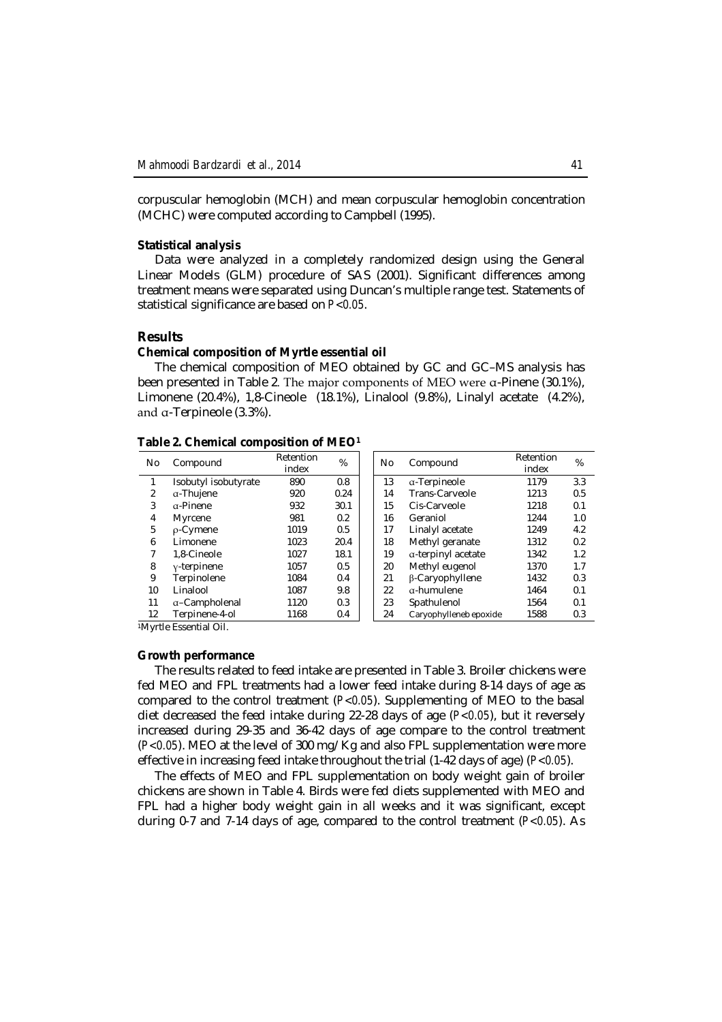corpuscular hemoglobin (MCH) and mean corpuscular hemoglobin concentration (MCHC) were computed according to Campbell (1995).

### **Statistical analysis**

Data were analyzed in a completely randomized design using the General Linear Models (GLM) procedure of SAS (2001). Significant differences among treatment means were separated using Duncan's multiple range test. Statements of statistical significance are based on *P<0.05*.

#### **Results**

#### **Chemical composition of Myrtle essential oil**

The chemical composition of MEO obtained by GC and GC–MS analysis has been presented in Table 2. The major components of MEO were α-Pinene (30.1%), Limonene (20.4%), 1,8-Cineole (18.1%), Linalool (9.8%), Linalyl acetate (4.2%), and α-Terpineole (3.3%).

| Table 2. Chemical composition of MEO <sup>1</sup> |  |  |
|---------------------------------------------------|--|--|
|---------------------------------------------------|--|--|

| No.               | Compound             | Retention<br>index | %    | No. | Compound               | Retention<br>index | %   |
|-------------------|----------------------|--------------------|------|-----|------------------------|--------------------|-----|
|                   | Isobutyl isobutyrate | 890                | 0.8  | 13  | a-Terpineole           | 1179               | 3.3 |
| 2                 | a-Thujene            | 920                | 0.24 | 14  | Trans-Carveole         | 1213               | 0.5 |
| 3                 | α-Pinene             | 932                | 30.1 | 15  | Cis-Carveole           | 1218               | 0.1 |
| 4                 | Myrcene              | 981                | 0.2  | 16  | Geraniol               | 1244               | 1.0 |
| 5                 | p-Cymene             | 1019               | 0.5  | 17  | Linalyl acetate        | 1249               | 4.2 |
| 6                 | Limonene             | 1023               | 20.4 | 18  | Methyl geranate        | 1312               | 0.2 |
| 7                 | 1.8-Cineole          | 1027               | 18.1 | 19  | a-terpinyl acetate     | 1342               | 1.2 |
| 8                 | $v$ -terpinene       | 1057               | 0.5  | 20  | Methyl eugenol         | 1370               | 1.7 |
| 9                 | Terpinolene          | 1084               | 0.4  | 21  | β-Caryophyllene        | 1432               | 0.3 |
| 10                | Linalool             | 1087               | 9.8  | 22  | a-humulene             | 1464               | 0.1 |
| 11                | a-Campholenal        | 1120               | 0.3  | 23  | Spathulenol            | 1564               | 0.1 |
| $12 \overline{ }$ | Terpinene-4-ol       | 1168               | 0.4  | 24  | Caryophylleneb epoxide | 1588               | 0.3 |

| etention | %    | Compound<br>No |                        | Retention | %   |
|----------|------|----------------|------------------------|-----------|-----|
| index    |      |                |                        | index     |     |
| 890      | 0.8  | 13             | a-Terpineole           | 1179      | 3.3 |
| 920      | 0.24 | 14             | Trans-Carveole         | 1213      | 0.5 |
| 932      | 30.1 | 15             | Cis-Carveole           | 1218      | 0.1 |
| 981      | 0.2  | 16             | Geraniol               | 1244      | 1.0 |
| 1019     | 0.5  | 17             | Linalyl acetate        | 1249      | 4.2 |
| 1023     | 20.4 | 18             | Methyl geranate        | 1312      | 0.2 |
| 1027     | 18.1 | 19             | a-terpinyl acetate     | 1342      | 1.2 |
| 1057     | 0.5  | 20             | Methyl eugenol         | 1370      | 1.7 |
| 1084     | 0.4  | 21             | β-Caryophyllene        | 1432      | 0.3 |
| 1087     | 9.8  | 22             | a-humulene             | 1464      | 0.1 |
| 1120     | 0.3  | 23             | Spathulenol            | 1564      | 0.1 |
| 1168     | 0.4  | 24             | Caryophylleneb epoxide | 1588      | 0.3 |

<sup>1</sup>Myrtle Essential Oil.

# **Growth performance**

The results related to feed intake are presented in Table 3. Broiler chickens were fed MEO and FPL treatments had a lower feed intake during 8-14 days of age as compared to the control treatment (*P<0.05*). Supplementing of MEO to the basal diet decreased the feed intake during 22-28 days of age (*P<0.05*), but it reversely increased during 29-35 and 36-42 days of age compare to the control treatment (*P<0.05*). MEO at the level of 300 mg/Kg and also FPL supplementation were more effective in increasing feed intake throughout the trial (1-42 days of age) (*P<0.05*).

The effects of MEO and FPL supplementation on body weight gain of broiler chickens are shown in Table 4. Birds were fed diets supplemented with MEO and FPL had a higher body weight gain in all weeks and it was significant, except during 0-7 and 7-14 days of age, compared to the control treatment (*P<0.05*). As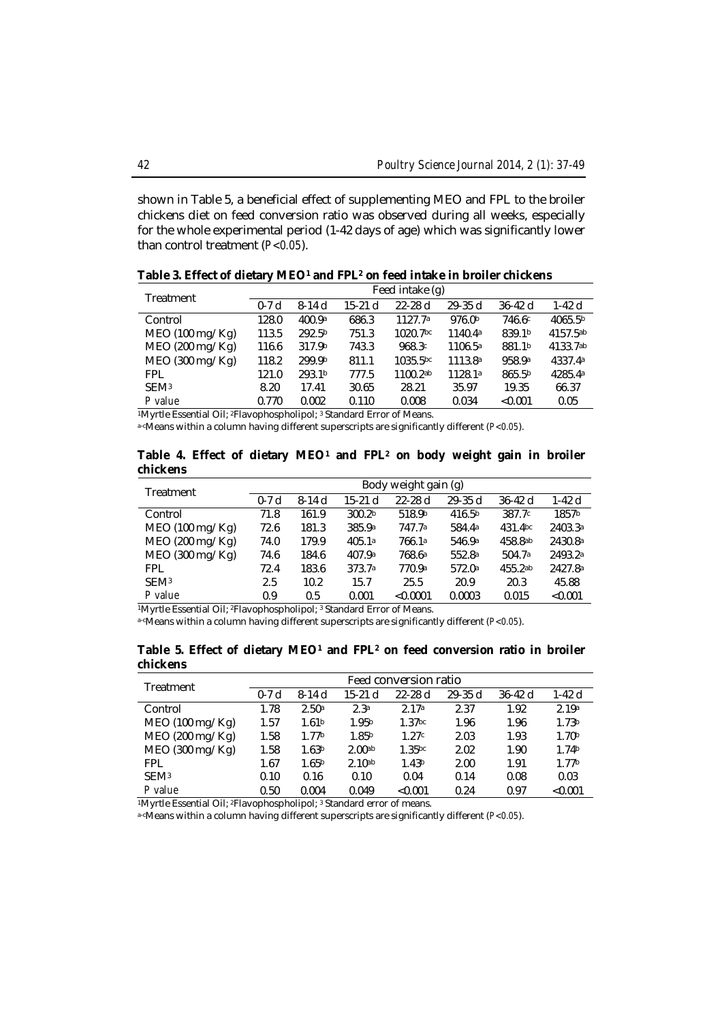shown in Table 5, a beneficial effect of supplementing MEO and FPL to the broiler chickens diet on feed conversion ratio was observed during all weeks, especially for the whole experimental period (1-42 days of age) which was significantly lower than control treatment (*P<0.05*).

| Treatment        | Feed intake (g) |         |           |                      |                     |             |                     |  |
|------------------|-----------------|---------|-----------|----------------------|---------------------|-------------|---------------------|--|
|                  | $0-7d$          | $8-14d$ | $15-21$ d | $22 - 28$ d          | $29 - 35$ d         | $36 - 42$ d | $1-42d$             |  |
| Control          | 128.0           | 400.9a  | 686.3     | 1127.7a              | 976.0b              | 746.6c      | 4065.5 <sup>b</sup> |  |
| MEO (100 mg/Kg)  | 113.5           | 292.5b  | 751.3     | 1020.7bc             | 1140.4 <sup>a</sup> | 839.1b      | 4157.5ab            |  |
| MEO (200 mg/Kg)  | 116.6           | 317.9b  | 743.3     | 968.3c               | 1106.5 <sup>a</sup> | 881.1b      | 4133.7ab            |  |
| MEO (300 mg/Kg)  | 118.2           | 299.9b  | 811.1     | 1035.5 <sup>bc</sup> | 1113.8 <sup>a</sup> | 958.9a      | 4337.4a             |  |
| <b>FPL</b>       | 121.0           | 293.1b  | 777.5     | 1100.2ab             | 1128.1 <sup>a</sup> | 865.5b      | 4285.4a             |  |
| SEM <sup>3</sup> | 8.20            | 17.41   | 30.65     | 28.21                | 35.97               | 19.35       | 66.37               |  |
| P value          | 0.770           | 0.002   | 0.110     | 0.008                | 0.034               | < 0.001     | 0.05                |  |

**Table 3. Effect of dietary MEO<sup>1</sup> and FPL<sup>2</sup> on feed intake in broiler chickens**

1Myrtle Essential Oil; <sup>2</sup>Flavophospholipol; <sup>3</sup> Standard Error of Means.

a-cMeans within a column having different superscripts are significantly different (*P<0.05*).

### **Table 4. Effect of dietary MEO<sup>1</sup> and FPL<sup>2</sup> on body weight gain in broiler chickens**

| Treatment        | Body weight gain (g) |         |                    |             |                    |             |         |  |
|------------------|----------------------|---------|--------------------|-------------|--------------------|-------------|---------|--|
|                  | $0-7d$               | $8-14d$ | $15-21$ d          | $22 - 28$ d | $29 - 35$ d        | $36 - 42$ d | 1-42 d  |  |
| Control          | 71.8                 | 161.9   | 300.2 <sub>b</sub> | 518.9b      | 416.5 <sup>b</sup> | 387.7c      | 1857b   |  |
| MEO (100 mg/Kg)  | 72.6                 | 181.3   | 385.9a             | 747.7a      | 584.4a             | 431.4bc     | 2403.3ª |  |
| MEO (200 mg/Kg)  | 74.0                 | 179.9   | 405.1a             | 766.1a      | 546.9a             | 458.8ab     | 2430.8a |  |
| MEO (300 mg/Kg)  | 74.6                 | 184.6   | 407.9a             | 768.6ª      | 552.8a             | 504.7a      | 2493.2a |  |
| <b>FPL</b>       | 72.4                 | 183.6   | 373.7a             | 770.9a      | 572.0a             | 455.2ab     | 2427.8a |  |
| SEM <sub>3</sub> | 2.5                  | 10.2    | 15.7               | 25.5        | 20.9               | 20.3        | 45.88   |  |
| P value          | 0.9                  | 0.5     | 0.001              | < 0.0001    | 0.0003             | 0.015       | < 0.001 |  |

1Myrtle Essential Oil; <sup>2</sup>Flavophospholipol; <sup>3</sup> Standard Error of Means.

a-cMeans within a column having different superscripts are significantly different (*P<0.05*).

# **Table 5. Effect of dietary MEO<sup>1</sup> and FPL<sup>2</sup> on feed conversion ratio in broiler chickens**

| Treatment        | Feed conversion ratio |                   |                    |                    |             |           |                   |  |
|------------------|-----------------------|-------------------|--------------------|--------------------|-------------|-----------|-------------------|--|
|                  | $0-7d$                | $8-14d$           | $15-21$ d          | $22 - 28$ d        | $29 - 35$ d | $36-42$ d | 1-42 d            |  |
| Control          | 1.78                  | 2.50a             | 2.3a               | 2.17a              | 2.37        | 1.92      | 2.19a             |  |
| MEO (100 mg/Kg)  | 1.57                  | 1.61 <sup>b</sup> | 1.95 <sup>b</sup>  | 1.37 <sub>bc</sub> | 1.96        | 1.96      | 1.73 <sup>b</sup> |  |
| MEO (200 mg/Kg)  | 1.58                  | 1.77 <sub>b</sub> | 1.85 <sup>b</sup>  | 1.27c              | 2.03        | 1.93      | 1.70 <sup>b</sup> |  |
| MEO (300 mg/Kg)  | 1.58                  | 1.63 <sup>b</sup> | 2.00 <sub>ab</sub> | 1.35bc             | 2.02        | 1.90      | 1.74 <sub>b</sub> |  |
| <b>FPL</b>       | 1.67                  | 1.65 <sup>b</sup> | 2.10 <sub>ab</sub> | 1.43 <sup>b</sup>  | 2.00        | 1.91      | 1.77 <sup>b</sup> |  |
| SEM <sub>3</sub> | 0.10                  | 0.16              | 0.10               | 0.04               | 0.14        | 0.08      | 0.03              |  |
| P value          | 0.50                  | 0.004             | 0.049              | < 0.001            | 0.24        | 0.97      | < 0.001           |  |

1Myrtle Essential Oil; <sup>2</sup>Flavophospholipol; <sup>3</sup> Standard error of means.

a-cMeans within a column having different superscripts are significantly different (*P<0.05*).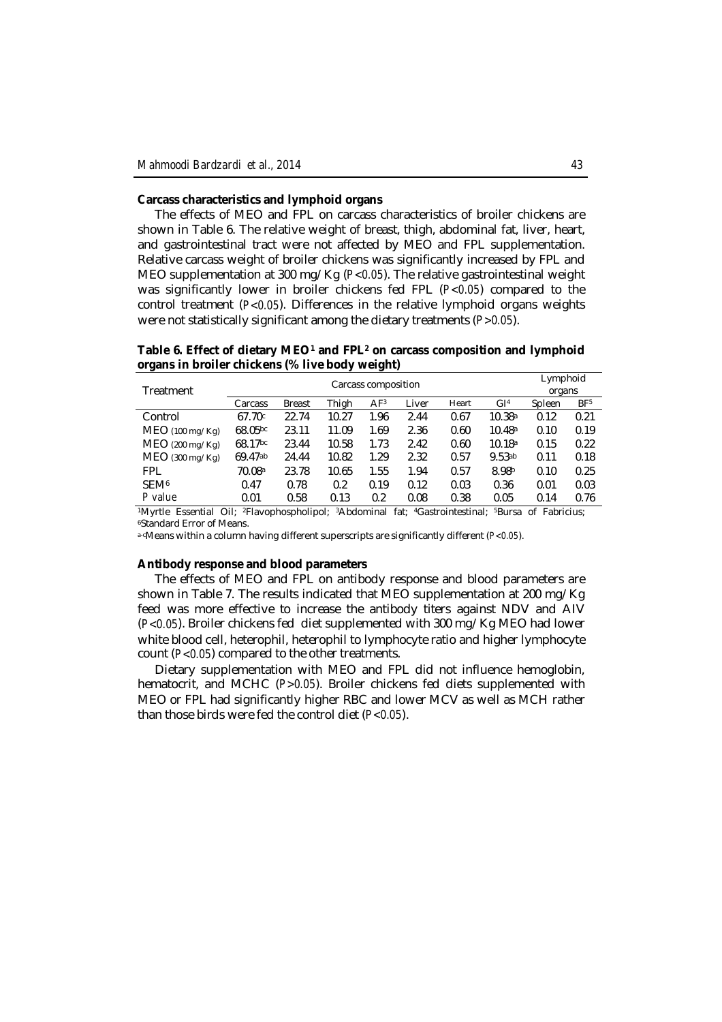# **Carcass characteristics and lymphoid organs**

The effects of MEO and FPL on carcass characteristics of broiler chickens are shown in Table 6. The relative weight of breast, thigh, abdominal fat, liver, heart, and gastrointestinal tract were not affected by MEO and FPL supplementation. Relative carcass weight of broiler chickens was significantly increased by FPL and MEO supplementation at 300 mg/Kg (*P<0.05*). The relative gastrointestinal weight was significantly lower in broiler chickens fed FPL (*P<0.05*) compared to the control treatment (*P<0.05*). Differences in the relative lymphoid organs weights were not statistically significant among the dietary treatments (*P>0.05*).

**Table 6. Effect of dietary MEO<sup>1</sup> and FPL<sup>2</sup> on carcass composition and lymphoid organs in broiler chickens (% live body weight)**

|                   |         | Lymphoid      |        |                 |       |       |                 |        |                 |
|-------------------|---------|---------------|--------|-----------------|-------|-------|-----------------|--------|-----------------|
| Treatment         |         |               | organs |                 |       |       |                 |        |                 |
|                   | Carcass | <b>Breast</b> | Thigh  | AF <sup>3</sup> | Liver | Heart | GI <sup>4</sup> | Spleen | BF <sup>5</sup> |
| Control           | 67.70c  | 22.74         | 10.27  | 1.96            | 2.44  | 0.67  | 10.38a          | 0.12   | 0.21            |
| $MEO$ (100 mg/Kg) | 68.05bc | 23.11         | 11.09  | 1.69            | 2.36  | 0.60  | 10.48a          | 0.10   | 0.19            |
| $MEO$ (200 mg/Kg) | 68.17bc | 23.44         | 10.58  | 1.73            | 2.42  | 0.60  | 10.18a          | 0.15   | 0.22            |
| MEO (300 mg/Kg)   | 69.47ab | 24.44         | 10.82  | 1.29            | 2.32  | 0.57  | 9.53ab          | 0.11   | 0.18            |
| <b>FPL</b>        | 70.08a  | 23.78         | 10.65  | 1.55            | 1.94  | 0.57  | 8.98b           | 0.10   | 0.25            |
| SEM <sup>6</sup>  | 0.47    | 0.78          | 0.2    | 0.19            | 0.12  | 0.03  | 0.36            | 0.01   | 0.03            |
| P value           | 0.01    | 0.58          | 0.13   | 0.2             | 0.08  | 0.38  | 0.05            | 0.14   | 0.76            |

<sup>1</sup>Myrtle Essential Oil; 2Flavophospholipol; 3Abdominal fat; 4Gastrointestinal; 5Bursa of Fabricius; <sup>6</sup>Standard Error of Means.

a-cMeans within a column having different superscripts are significantly different (*P<0.05*).

#### **Antibody response and blood parameters**

The effects of MEO and FPL on antibody response and blood parameters are shown in Table 7. The results indicated that MEO supplementation at 200 mg/Kg feed was more effective to increase the antibody titers against NDV and AIV (*P<0.05*). Broiler chickens fed diet supplemented with 300 mg/Kg MEO had lower white blood cell, heterophil, heterophil to lymphocyte ratio and higher lymphocyte count (*P<0.05*) compared to the other treatments.

Dietary supplementation with MEO and FPL did not influence hemoglobin, hematocrit, and MCHC (*P>0.05*). Broiler chickens fed diets supplemented with MEO or FPL had significantly higher RBC and lower MCV as well as MCH rather than those birds were fed the control diet (*P<0.05*).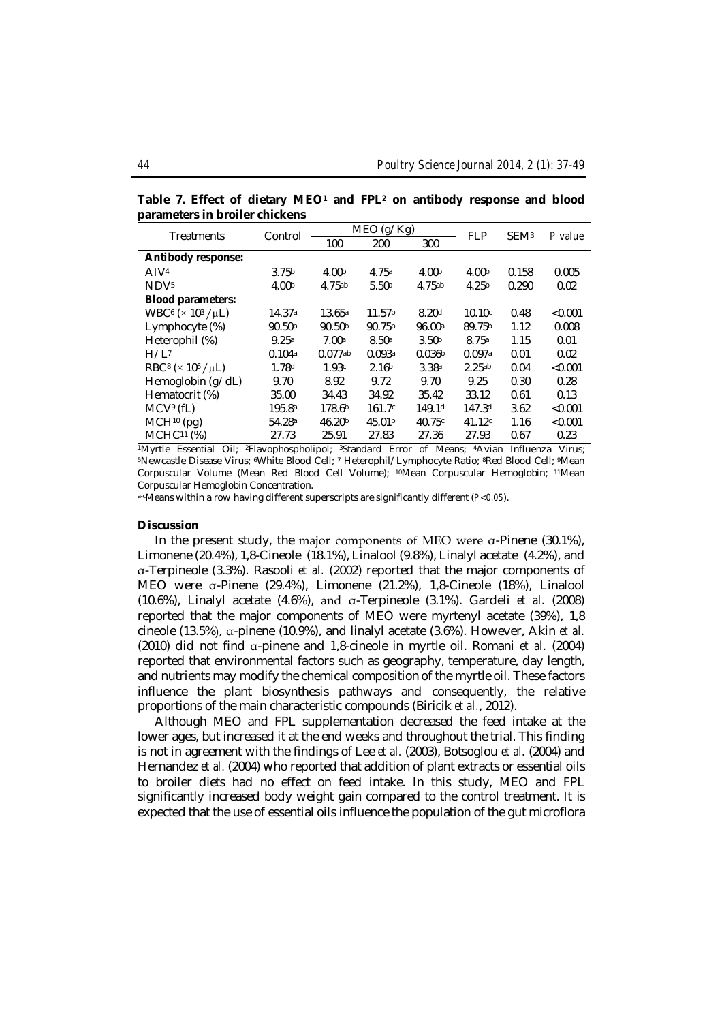| varameters in broner chickens                          |                    |                       |                    |                    |                   |                  |         |
|--------------------------------------------------------|--------------------|-----------------------|--------------------|--------------------|-------------------|------------------|---------|
| <b>Treatments</b>                                      | Control            |                       | MEO (g/Kg)         |                    | <b>FLP</b>        | SEM <sup>3</sup> | P value |
|                                                        |                    | 100                   | 200                | 300                |                   |                  |         |
| Antibody response:                                     |                    |                       |                    |                    |                   |                  |         |
| AIV <sup>4</sup>                                       | 3.75 <sup>b</sup>  | 4.00 <sub>b</sub>     | 4.75a              | 4.00 <sub>b</sub>  | 4.00 <sub>b</sub> | 0.158            | 0.005   |
| NDV <sub>5</sub>                                       | 4.00 <sup>b</sup>  | 4.75ab                | 5.50a              | 4.75ab             | 4.25 <sup>b</sup> | 0.290            | 0.02    |
| <b>Blood parameters:</b>                               |                    |                       |                    |                    |                   |                  |         |
| WBC <sup>6</sup> ( $\times$ 10 <sup>3</sup> / $\mu$ L) | 14.37ª             | 13.65a                | 11.57 <sup>b</sup> | 8.20 <sup>d</sup>  | 10.10c            | 0.48             | < 0.001 |
| Lymphocyte (%)                                         | 90.50 <sup>b</sup> | 90.50 <sup>b</sup>    | 90.75b             | 96.00a             | 89.75b            | 1.12             | 0.008   |
| Heterophil (%)                                         | 9.25a              | 7.00a                 | 8.50a              | 3.50 <sup>b</sup>  | 8.75a             | 1.15             | 0.01    |
| H/L <sup>7</sup>                                       | 0.104a             | $0.077$ <sup>ab</sup> | 0.093a             | 0.036 <sup>b</sup> | 0.097a            | 0.01             | 0.02    |
| RBC <sup>8</sup> ( $\times$ 10 <sup>6</sup> / $\mu$ L) | 1.78d              | 1.93c                 | 2.16 <sup>b</sup>  | 3.38a              | 2.25ab            | 0.04             | < 0.001 |
| Hemoglobin (g/dL)                                      | 9.70               | 8.92                  | 9.72               | 9.70               | 9.25              | 0.30             | 0.28    |
| Hematocrit (%)                                         | 35.00              | 34.43                 | 34.92              | 35.42              | 33.12             | 0.61             | 0.13    |
| MCV <sup>9</sup> (fL)                                  | 195.8 <sup>a</sup> | 178.6 <sup>b</sup>    | 161.7c             | 149.1 <sup>d</sup> | 147.3d            | 3.62             | < 0.001 |
| $MCH10$ (pg)                                           | 54.28 <sup>a</sup> | 46.20 <sup>b</sup>    | 45.01b             | 40.75c             | 41.12c            | 1.16             | < 0.001 |
| MCHC <sup>11</sup> (%)                                 | 27.73              | 25.91                 | 27.83              | 27.36              | 27.93             | 0.67             | 0.23    |

**Table 7. Effect of dietary MEO<sup>1</sup> and FPL<sup>2</sup> on antibody response and blood parameters in broiler chicke** 

<sup>1</sup>Myrtle Essential Oil; 2Flavophospholipol; 3Standard Error of Means; 4Avian Influenza Virus; <sup>5</sup>Newcastle Disease Virus; 6White Blood Cell; <sup>7</sup> Heterophil/Lymphocyte Ratio; 8Red Blood Cell; 9Mean Corpuscular Volume (Mean Red Blood Cell Volume); 10Mean Corpuscular Hemoglobin; 11Mean Corpuscular Hemoglobin Concentration.

a-cMeans within a row having different superscripts are significantly different (*P<0.05*).

# **Discussion**

In the present study, the major components of MEO were α-Pinene (30.1%), Limonene (20.4%), 1,8-Cineole (18.1%), Linalool (9.8%), Linalyl acetate (4.2%), and α-Terpineole (3.3%). Rasooli *et al.* (2002) reported that the major components of MEO were α-Pinene (29.4%), Limonene (21.2%), 1,8-Cineole (18%), Linalool (10.6%), Linalyl acetate (4.6%), and α-Terpineole (3.1%). Gardeli *et al.* (2008) reported that the major components of MEO were myrtenyl acetate (39%), 1,8 cineole (13.5%), α-pinene (10.9%), and linalyl acetate (3.6%). However, Akin *et al.* (2010) did not find α-pinene and 1,8-cineole in myrtle oil. Romani *et al.* (2004) reported that environmental factors such as geography, temperature, day length, and nutrients may modify the chemical composition of the myrtle oil. These factors influence the plant biosynthesis pathways and consequently, the relative proportions of the main characteristic compounds (Biricik *et al.*, 2012).

Although MEO and FPL supplementation decreased the feed intake at the lower ages, but increased it at the end weeks and throughout the trial. This finding is not in agreement with the findings of Lee *et al.* (2003), Botsoglou *et al.* (2004) and Hernandez *et al.* (2004) who reported that addition of plant extracts or essential oils to broiler diets had no effect on feed intake. In this study, MEO and FPL significantly increased body weight gain compared to the control treatment. It is expected that the use of essential oils influence the population of the gut microflora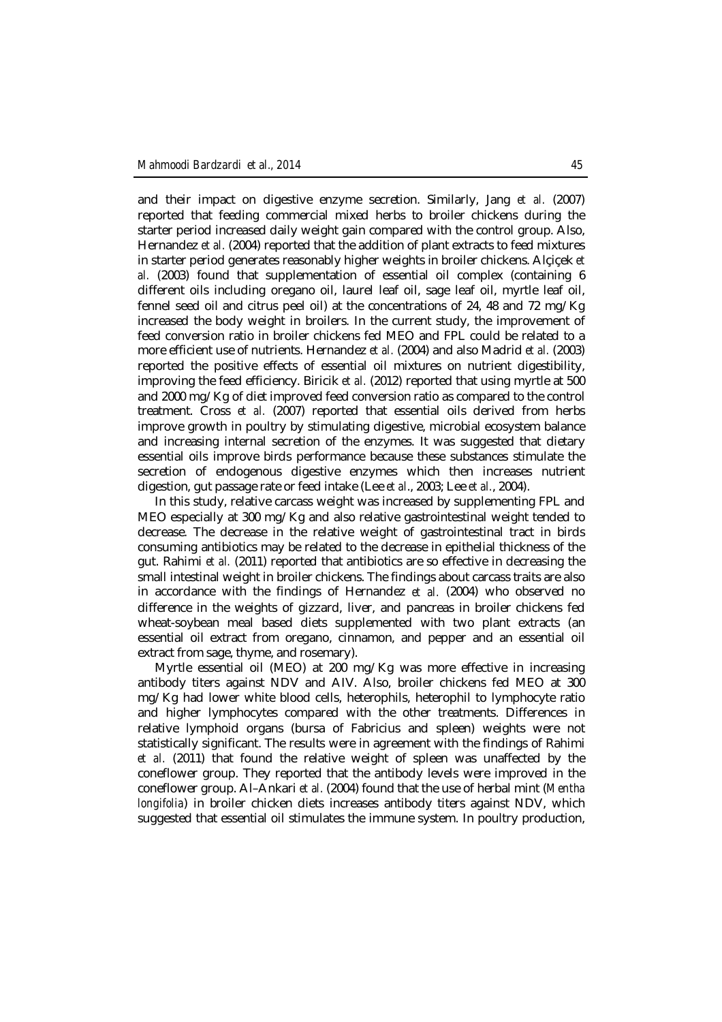and their impact on digestive enzyme secretion. Similarly, Jang *et al.* (2007) reported that feeding commercial mixed herbs to broiler chickens during the starter period increased daily weight gain compared with the control group. Also, Hernandez *et al.* (2004) reported that the addition of plant extracts to feed mixtures in starter period generates reasonably higher weights in broiler chickens. Alçiçek *et al.* (2003) found that supplementation of essential oil complex (containing 6 different oils including oregano oil, laurel leaf oil, sage leaf oil, myrtle leaf oil, fennel seed oil and citrus peel oil) at the concentrations of 24, 48 and 72 mg/Kg increased the body weight in broilers. In the current study, the improvement of feed conversion ratio in broiler chickens fed MEO and FPL could be related to a more efficient use of nutrients. Hernandez *et al.* (2004) and also Madrid *et al.* (2003) reported the positive effects of essential oil mixtures on nutrient digestibility, improving the feed efficiency. Biricik *et al.* (2012) reported that using myrtle at 500 and 2000 mg/Kg of diet improved feed conversion ratio as compared to the control treatment. Cross *et al.* (2007) reported that essential oils derived from herbs improve growth in poultry by stimulating digestive, microbial ecosystem balance and increasing internal secretion of the enzymes. It was suggested that dietary essential oils improve birds performance because these substances stimulate the secretion of endogenous digestive enzymes which then increases nutrient digestion, gut passage rate or feed intake (Lee *et al*., 2003; Lee *et al.*, 2004).

In this study, relative carcass weight was increased by supplementing FPL and MEO especially at 300 mg/Kg and also relative gastrointestinal weight tended to decrease. The decrease in the relative weight of gastrointestinal tract in birds consuming antibiotics may be related to the decrease in epithelial thickness of the gut. Rahimi *et al.* (2011) reported that antibiotics are so effective in decreasing the small intestinal weight in broiler chickens. The findings about carcass traits are also in accordance with the findings of Hernandez *et al.* (2004) who observed no difference in the weights of gizzard, liver, and pancreas in broiler chickens fed wheat-soybean meal based diets supplemented with two plant extracts (an essential oil extract from oregano, cinnamon, and pepper and an essential oil extract from sage, thyme, and rosemary).

Myrtle essential oil (MEO) at 200 mg/Kg was more effective in increasing antibody titers against NDV and AIV. Also, broiler chickens fed MEO at 300 mg/Kg had lower white blood cells, heterophils, heterophil to lymphocyte ratio and higher lymphocytes compared with the other treatments. Differences in relative lymphoid organs (bursa of Fabricius and spleen) weights were not statistically significant. The results were in agreement with the findings of Rahimi *et al.* (2011) that found the relative weight of spleen was unaffected by the coneflower group. They reported that the antibody levels were improved in the coneflower group. Al–Ankari *et al.* (2004) found that the use of herbal mint (*Mentha longifolia*) in broiler chicken diets increases antibody titers against NDV, which suggested that essential oil stimulates the immune system. In poultry production,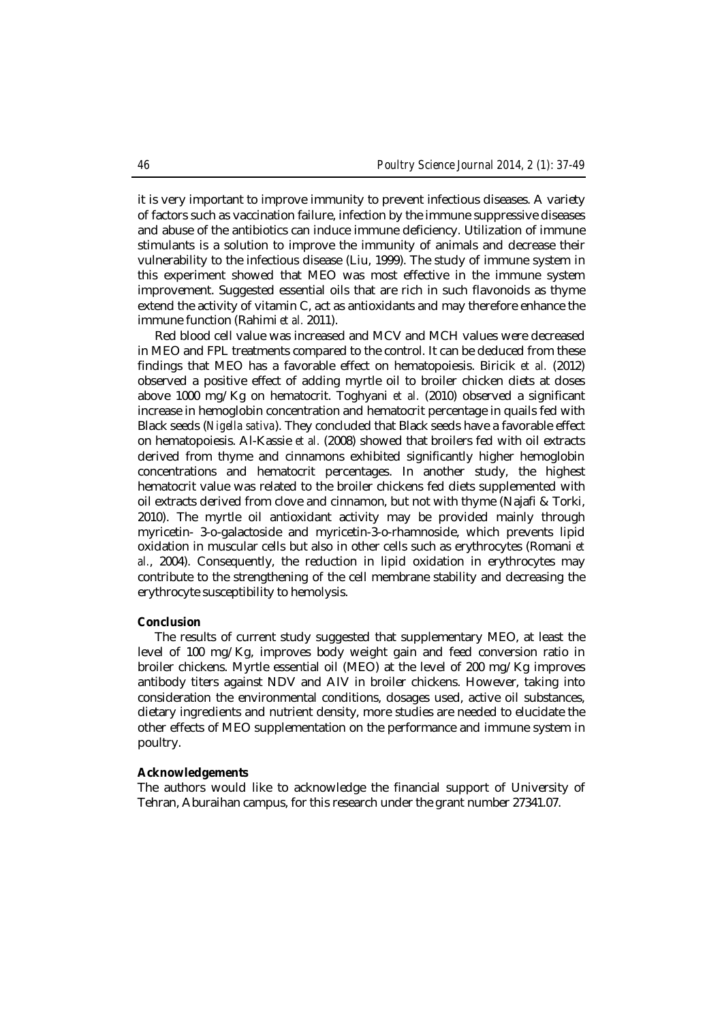it is very important to improve immunity to prevent infectious diseases. A variety of factors such as vaccination failure, infection by the immune suppressive diseases and abuse of the antibiotics can induce immune deficiency. Utilization of immune stimulants is a solution to improve the immunity of animals and decrease their vulnerability to the infectious disease (Liu, 1999). The study of immune system in this experiment showed that MEO was most effective in the immune system improvement. Suggested essential oils that are rich in such flavonoids as thyme extend the activity of vitamin C, act as antioxidants and may therefore enhance the immune function (Rahimi *et al.* 2011).

Red blood cell value was increased and MCV and MCH values were decreased in MEO and FPL treatments compared to the control. It can be deduced from these findings that MEO has a favorable effect on hematopoiesis. Biricik *et al.* (2012) observed a positive effect of adding myrtle oil to broiler chicken diets at doses above 1000 mg/Kg on hematocrit. Toghyani *et al.* (2010) observed a significant increase in hemoglobin concentration and hematocrit percentage in quails fed with Black seeds (*Nigella sativa*). They concluded that Black seeds have a favorable effect on hematopoiesis. Al-Kassie *et al.* (2008) showed that broilers fed with oil extracts derived from thyme and cinnamons exhibited significantly higher hemoglobin concentrations and hematocrit percentages. In another study, the highest hematocrit value was related to the broiler chickens fed diets supplemented with oil extracts derived from clove and cinnamon, but not with thyme (Najafi & Torki, 2010). The myrtle oil antioxidant activity may be provided mainly through myricetin- 3-o-galactoside and myricetin-3-o-rhamnoside, which prevents lipid oxidation in muscular cells but also in other cells such as erythrocytes (Romani *et al.*, 2004). Consequently, the reduction in lipid oxidation in erythrocytes may contribute to the strengthening of the cell membrane stability and decreasing the erythrocyte susceptibility to hemolysis.

# **Conclusion**

The results of current study suggested that supplementary MEO, at least the level of 100 mg/Kg, improves body weight gain and feed conversion ratio in broiler chickens. Myrtle essential oil (MEO) at the level of 200 mg/Kg improves antibody titers against NDV and AIV in broiler chickens. However, taking into consideration the environmental conditions, dosages used, active oil substances, dietary ingredients and nutrient density, more studies are needed to elucidate the other effects of MEO supplementation on the performance and immune system in poultry.

#### **Acknowledgements**

The authors would like to acknowledge the financial support of University of Tehran, Aburaihan campus, for this research under the grant number 27341.07.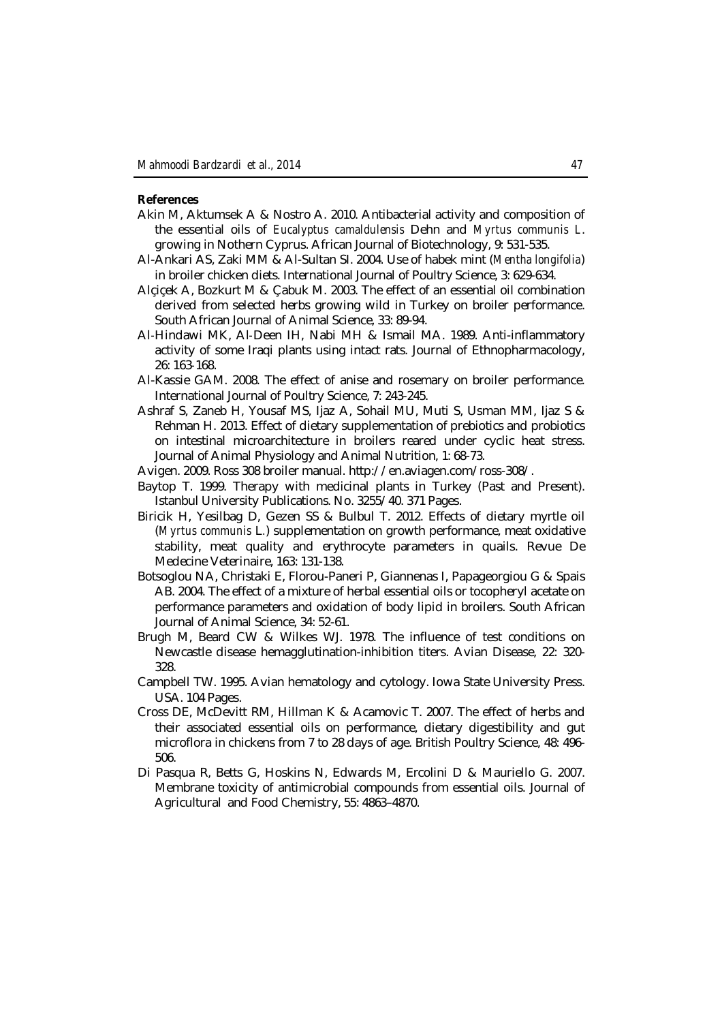#### **References**

- Akin M, Aktumsek A & Nostro A. 2010. Antibacterial activity and composition of the essential oils of *Eucalyptus camaldulensis* Dehn and *Myrtus communis L*. growing in Nothern Cyprus. African Journal of Biotechnology, 9: 531-535.
- Al-Ankari AS, Zaki MM & Al-Sultan SI. 2004. Use of habek mint (*Mentha longifolia*) in broiler chicken diets. International Journal of Poultry Science, 3: 629-634.
- Alçiçek A, Bozkurt M & Çabuk M. 2003. The effect of an essential oil combination derived from selected herbs growing wild in Turkey on broiler performance. South African Journal of Animal Science, 33: 89-94.
- Al‐Hindawi MK, Al‐Deen IH, Nabi MH & Ismail MA. 1989. Anti-inflammatory activity of some Iraqi plants using intact rats. Journal of Ethnopharmacology, 26: 163‐168.
- Al-Kassie GAM. 2008. The effect of anise and rosemary on broiler performance. International Journal of Poultry Science, 7: 243-245.
- Ashraf S, Zaneb H, Yousaf MS, Ijaz A, Sohail MU, Muti S, Usman MM, Ijaz S & Rehman H. 2013. Effect of dietary supplementation of prebiotics and probiotics on intestinal microarchitecture in broilers reared under cyclic heat stress. Journal of Animal Physiology and Animal Nutrition, 1: 68-73.
- Avigen. 2009. Ross 308 broiler manual. http://en.aviagen.com/ross-308/.
- Baytop T. 1999. Therapy with medicinal plants in Turkey (Past and Present). Istanbul University Publications. No. 3255/40. 371 Pages.
- Biricik H, Yesilbag D, Gezen SS & Bulbul T. 2012. Effects of dietary myrtle oil (*Myrtus communis* L*.*) supplementation on growth performance, meat oxidative stability, meat quality and erythrocyte parameters in quails. Revue De Medecine Veterinaire, 163: 131-138.
- Botsoglou NA, Christaki E, Florou-Paneri P, Giannenas I, Papageorgiou G & Spais AB. 2004. The effect of a mixture of herbal essential oils or tocopheryl acetate on performance parameters and oxidation of body lipid in broilers. South African Journal of Animal Science, 34: 52-61.
- Brugh M, Beard CW & Wilkes WJ. 1978. The influence of test conditions on Newcastle disease hemagglutination-inhibition titers. Avian Disease, 22: 320- 328.
- Campbell TW. 1995. Avian hematology and cytology. Iowa State University Press. USA. 104 Pages.
- Cross DE, McDevitt RM, Hillman K & Acamovic T. 2007. The effect of herbs and their associated essential oils on performance, dietary digestibility and gut microflora in chickens from 7 to 28 days of age. British Poultry Science, 48: 496- 506.
- Di Pasqua R, Betts G, Hoskins N, Edwards M, Ercolini D & Mauriello G. 2007. Membrane toxicity of antimicrobial compounds from essential oils. Journal of Agricultural and Food Chemistry, 55: 4863–4870.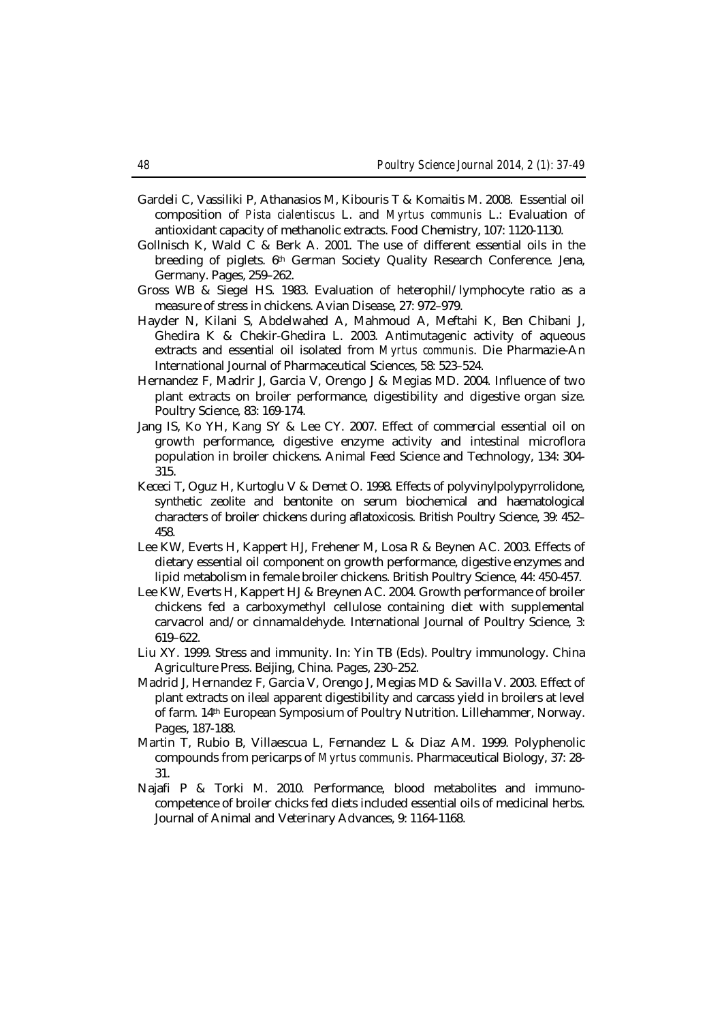- Gardeli C, Vassiliki P, Athanasios M, Kibouris T & Komaitis M. 2008. Essential oil composition of *Pista cialentiscus* L. and *Myrtus communis* L.: Evaluation of antioxidant capacity of methanolic extracts. Food Chemistry, 107: 1120-1130.
- Gollnisch K, Wald C & Berk A. 2001. The use of different essential oils in the breeding of piglets. 6th German Society Quality Research Conference. Jena, Germany. Pages, 259–262.
- Gross WB & Siegel HS. 1983. Evaluation of heterophil/lymphocyte ratio as a measure of stress in chickens. Avian Disease, 27: 972–979.
- Hayder N, Kilani S, Abdelwahed A, Mahmoud A, Meftahi K, Ben Chibani J, Ghedira K & Chekir-Ghedira L. 2003. Antimutagenic activity of aqueous extracts and essential oil isolated from *Myrtus communis*. Die Pharmazie-An International Journal of Pharmaceutical Sciences, 58: 523–524.
- Hernandez F, Madrir J, Garcia V, Orengo J & Megias MD. 2004. Influence of two plant extracts on broiler performance, digestibility and digestive organ size. Poultry Science, 83: 169-174.
- Jang IS, Ko YH, Kang SY & Lee CY. 2007. Effect of commercial essential oil on growth performance, digestive enzyme activity and intestinal microflora population in broiler chickens. Animal Feed Science and Technology, 134: 304- 315.
- Kececi T, Oguz H, Kurtoglu V & Demet O. 1998. Effects of polyvinylpolypyrrolidone, synthetic zeolite and bentonite on serum biochemical and haematological characters of broiler chickens during aflatoxicosis. British Poultry Science, 39: 452– 458.
- Lee KW, Everts H, Kappert HJ, Frehener M, Losa R & Beynen AC. 2003. Effects of dietary essential oil component on growth performance, digestive enzymes and lipid metabolism in female broiler chickens. British Poultry Science, 44: 450-457.
- Lee KW, Everts H, Kappert HJ & Breynen AC. 2004. Growth performance of broiler chickens fed a carboxymethyl cellulose containing diet with supplemental carvacrol and/or cinnamaldehyde. International Journal of Poultry Science, 3: 619–622.
- Liu XY. 1999. Stress and immunity. In: Yin TB (Eds). Poultry immunology. China Agriculture Press. Beijing, China. Pages, 230–252.
- Madrid J, Hernandez F, Garcia V, Orengo J, Megias MD & Savilla V. 2003. Effect of plant extracts on ileal apparent digestibility and carcass yield in broilers at level of farm. 14th European Symposium of Poultry Nutrition. Lillehammer, Norway. Pages, 187-188.
- Martin T, Rubio B, Villaescua L, Fernandez L & Diaz AM. 1999. Polyphenolic compounds from pericarps of *Myrtus communis*. Pharmaceutical Biology, 37: 28- 31.
- Najafi P & Torki M. 2010. Performance, blood metabolites and immunocompetence of broiler chicks fed diets included essential oils of medicinal herbs. Journal of Animal and Veterinary Advances, 9: 1164-1168.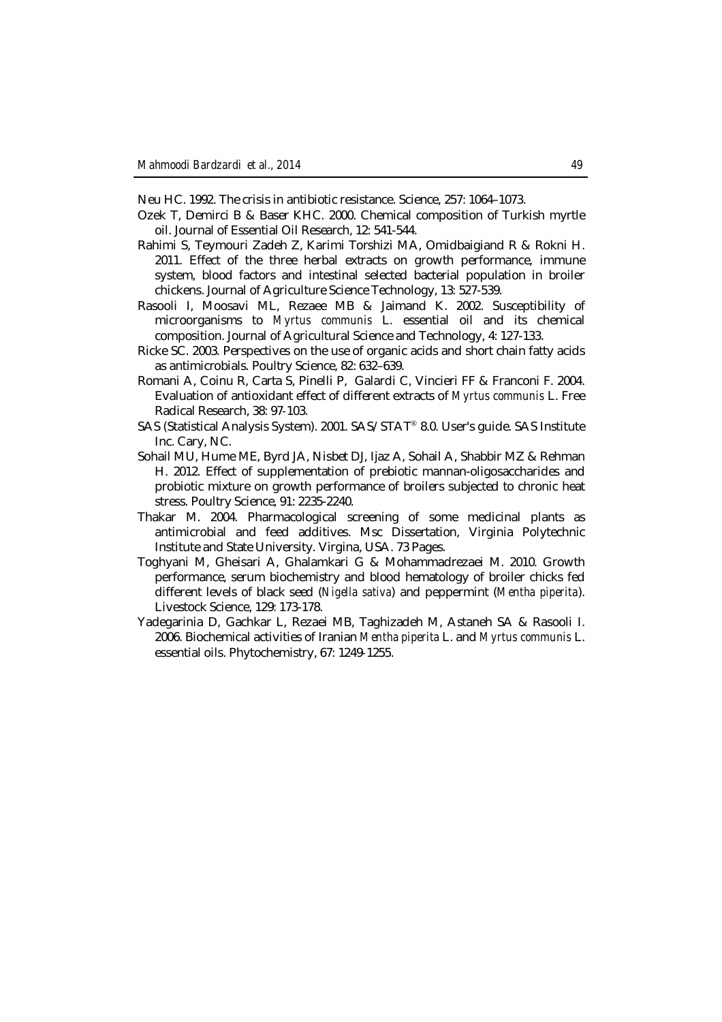Neu HC. 1992. The crisis in antibiotic resistance. Science, 257: 1064–1073.

- Ozek T, Demirci B & Baser KHC. 2000. Chemical composition of Turkish myrtle oil. Journal of Essential Oil Research, 12: 541-544.
- Rahimi S, Teymouri Zadeh Z, Karimi Torshizi MA, Omidbaigiand R & Rokni H. 2011. Effect of the three herbal extracts on growth performance, immune system, blood factors and intestinal selected bacterial population in broiler chickens. Journal of Agriculture Science Technology, 13: 527-539.
- Rasooli I, Moosavi ML, Rezaee MB & Jaimand K. 2002. Susceptibility of microorganisms to *Myrtus communis* L. essential oil and its chemical composition. Journal of Agricultural Science and Technology, 4: 127-133.
- Ricke SC. 2003. Perspectives on the use of organic acids and short chain fatty acids as antimicrobials. Poultry Science, 82: 632–639.
- Romani A, Coinu R, Carta S, Pinelli P, Galardi C, Vincieri FF & Franconi F. 2004. Evaluation of antioxidant effect of different extracts of *Myrtus communis* L. Free Radical Research, 38: 97‐103.
- SAS (Statistical Analysis System). 2001. SAS/STAT® 8.0. User's guide. SAS Institute Inc. Cary, NC.
- Sohail MU, Hume ME, Byrd JA, Nisbet DJ, Ijaz A, Sohail A, Shabbir MZ & Rehman H. 2012. Effect of supplementation of prebiotic mannan-oligosaccharides and probiotic mixture on growth performance of broilers subjected to chronic heat stress. Poultry Science, 91: 2235-2240.
- Thakar M. 2004. Pharmacological screening of some medicinal plants as antimicrobial and feed additives. Msc Dissertation, Virginia Polytechnic Institute and State University. Virgina, USA. 73 Pages.
- Toghyani M, Gheisari A, Ghalamkari G & Mohammadrezaei M. 2010. Growth performance, serum biochemistry and blood hematology of broiler chicks fed different levels of black seed (*Nigella sativa*) and peppermint (*Mentha piperita*). Livestock Science, 129: 173-178.
- Yadegarinia D, Gachkar L, Rezaei MB, Taghizadeh M, Astaneh SA & Rasooli I. 2006. Biochemical activities of Iranian *Mentha piperita* L. and *Myrtus communis* L. essential oils. Phytochemistry, 67: 1249‐1255.